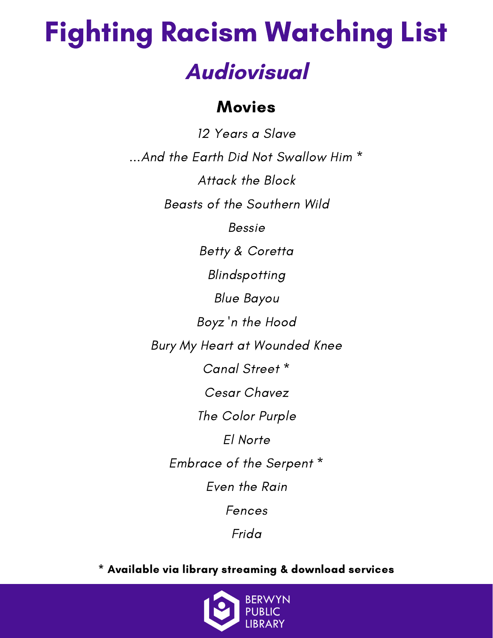### Movies

12 Years a Slave ...And the Earth Did Not Swallow Him \* Attack the Block Beasts of the Southern Wild Bessie Betty & Coretta Blindspotting Blue Bayou Boyz 'n the Hood Bury My Heart at Wounded Knee Canal Street \* Cesar Chavez The Color Purple El Norte Embrace of the Serpent \* Even the Rain Fences Frida

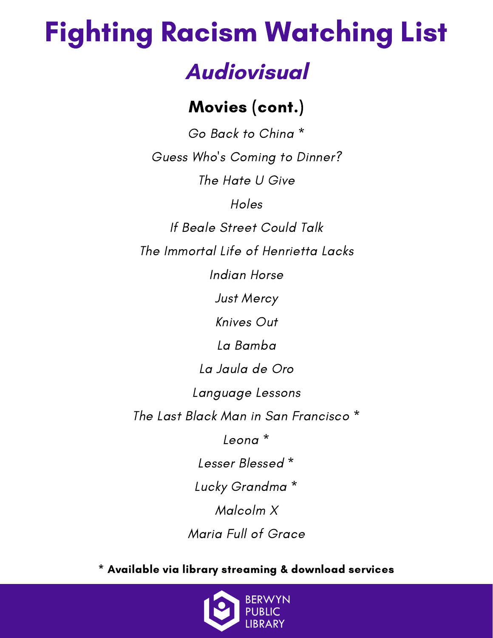## Fighting Racism Watching List

### **Audiovisual**

### Movies (cont.)

Go Back to China \* Guess Who's Coming to Dinner? The Hate U Give Holes If Beale Street Could Talk The Immortal Life of Henrietta Lacks Indian Horse Just Mercy Knives Out La Bamba La Jaula de Oro Language Lessons The Last Black Man in San Francisco \* Leona \* Lesser Blessed \* Lucky Grandma \* Malcolm X Maria Full of Grace

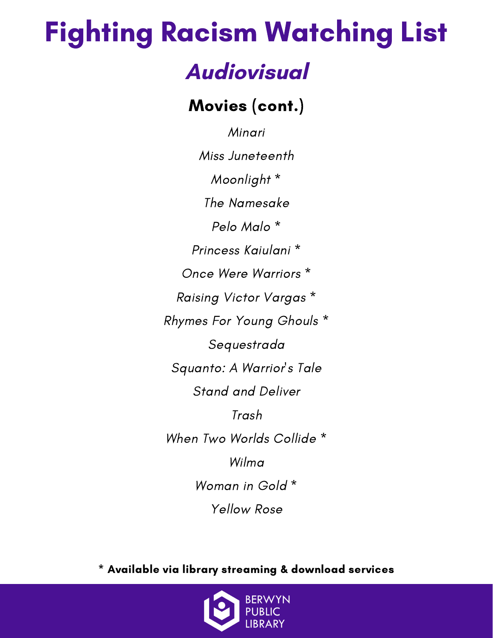## Fighting Racism Watching List

### **Audiovisual**

Movies (cont.)

Minari Miss Juneteenth Moonlight \* The Namesake Pelo Malo \* Princess Kaiulani \* Once Were Warriors \* Raising Victor Vargas \* Rhymes For Young Ghouls \* Sequestrada Squanto: A Warrior's Tale Stand and Deliver Trash When Two Worlds Collide \* Wilma Woman in Gold \* Yellow Rose

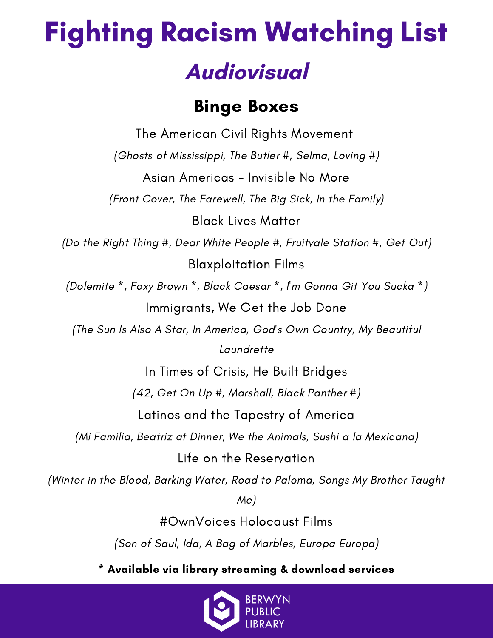### Binge Boxes

The American Civil Rights Movement (Ghosts of Mississippi, The Butler #, Selma, Loving #) Asian Americas - Invisible No More (Front Cover, The Farewell, The Big Sick, In the Family) Black Lives Matter (Do the Right Thing #, Dear White People #, Fruitvale Station #, Get Out) Blaxploitation Films (Dolemite \*, Foxy Brown \*, Black Caesar \*, I'm Gonna Git You Sucka \*) Immigrants, We Get the Job Done (The Sun Is Also A Star, In America, God's Own Country, My Beautiful **Laundrette** In Times of Crisis, He Built Bridges (42, Get On Up #, Marshall, Black Panther #) Latinos and the Tapestry of America (Mi Familia, Beatriz at Dinner, We the Animals, Sushi a la Mexicana) Life on the Reservation (Winter in the Blood, Barking Water, Road to Paloma, Songs My Brother Taught Me) #OwnVoices Holocaust Films

(Son of Saul, Ida, A Bag of Marbles, Europa Europa)

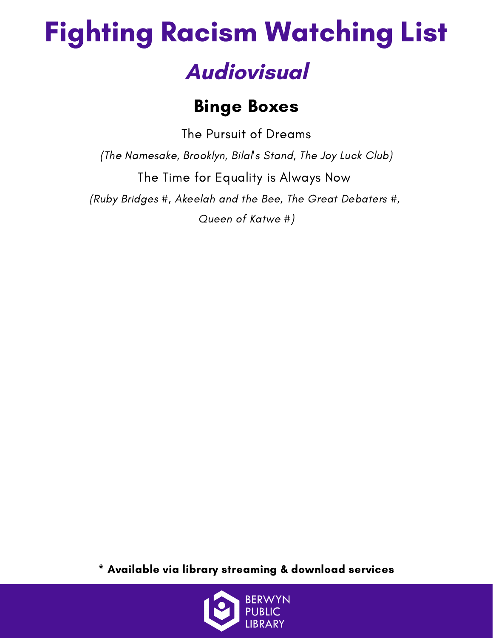### Binge Boxes

The Pursuit of Dreams (The Namesake, Brooklyn, Bilal's Stand, The Joy Luck Club) The Time for Equality is Always Now (Ruby Bridges #, Akeelah and the Bee, The Great Debaters #, Queen of Katwe #)

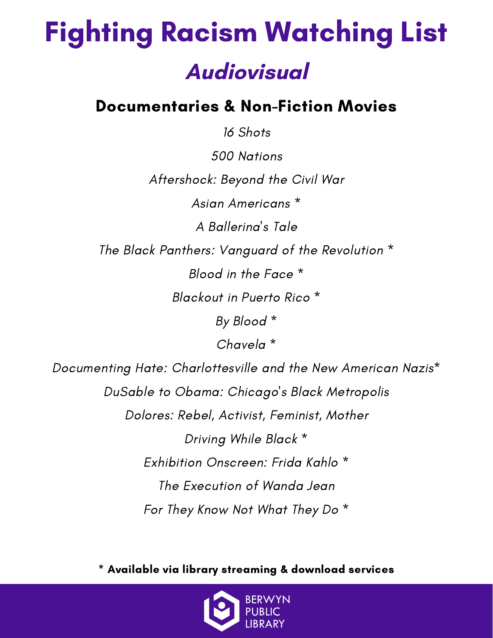### Documentaries & Non-Fiction Movies

16 Shots 500 Nations Aftershock: Beyond the Civil War Asian Americans \* A Ballerina's Tale The Black Panthers: Vanguard of the Revolution \* Blood in the Face \* Blackout in Puerto Rico \* By Blood \* Chavela \* Documenting Hate: Charlottesville and the New American Nazis\*

DuSable to Obama: Chicago's Black Metropolis Dolores: Rebel, Activist, Feminist, Mother Driving While Black \* Exhibition Onscreen: Frida Kahlo \* The Execution of Wanda Jean For They Know Not What They Do \*

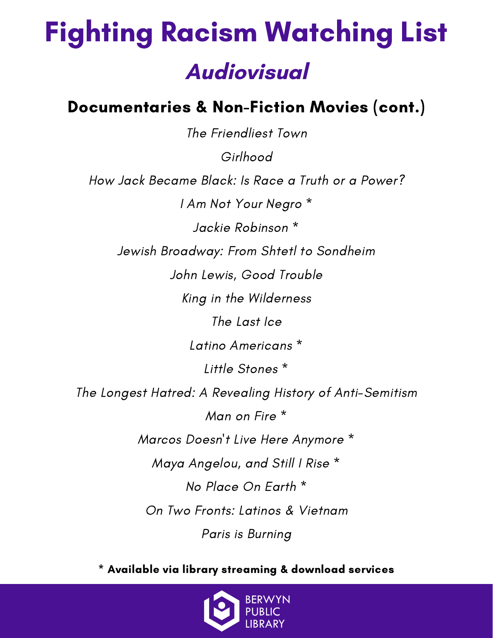#### Documentaries & Non-Fiction Movies (cont.)

The Friendliest Town Girlhood How Jack Became Black: Is Race a Truth or a Power? I Am Not Your Negro \* Jackie Robinson \* Jewish Broadway: From Shtetl to Sondheim John Lewis, Good Trouble King in the Wilderness The Last Ice Latino Americans \* Little Stones \* The Longest Hatred: A Revealing History of Anti-Semitism Man on Fire \* Marcos Doesn't Live Here Anymore \* Maya Angelou, and Still I Rise \* No Place On Earth \* On Two Fronts: Latinos & Vietnam Paris is Burning